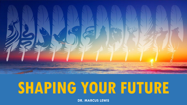

# **SHAPING YOUR FUTURE**

**DR. MARCUS LEWIS**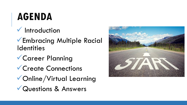#### **AGENDA**

#### $\checkmark$  Introduction

**VEmbracing Multiple Racial Identities** 

- Career Planning
- **V** Create Connections
- Online/Virtual Learning
- Questions & Answers

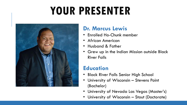## **YOUR PRESENTER**



#### **Dr. Marcus Lewis**

- Enrolled Ho-Chunk member
- African American
- Husband & Father
- Grew up in the Indian Mission outside Black River Falls

#### **Education**

- Black River Falls Senior High School
- University of Wisconsin Stevens Point (Bachelor)
- University of Nevada Las Vegas (Master's)
- University of Wisconsin Stout (Doctorate)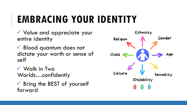### **EMBRACING YOUR IDENTITY**

 Value and appreciate your entire identity

◆ Blood quantum does not dictate your worth or sense of self

 Walk in Two Worlds…confidently

 $\checkmark$  Bring the BEST of yourself forward

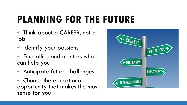### **PLANNING FOR THE FUTURE**

**V** Think about a CAREER, not a job

 $\checkmark$  Identify your passions

 $\checkmark$  Find allies and mentors who can help you

Anticipate future challenges

 Choose the educational opportunity that makes the most sense for you

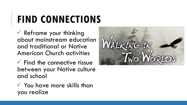### **FIND CONNECTIONS**

 Reframe your thinking about mainstream education and traditional or Native American Church activities

 $\checkmark$  Find the connective tissue between your Native culture and school

 $\checkmark$  You have more skills than you realize

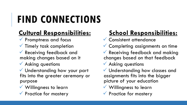## **FIND CONNECTIONS**

#### **Cultural Responsibilities:**

- **V** Promptness and focus
- $\checkmark$  Timely task completion
- **V** Receiving feedback and making changes based on it
- **V** Asking questions
- V Understanding how your part fits into the greater ceremony or purpose
- Willingness to learn
- $\sqrt{\ }$  Practice for mastery

#### **School Responsibilities:**

- Consistent attendance
- Completing assignments on time
- **V** Receiving feedback and making changes based on that feedback
- Asking questions
- Understanding how classes and assignments fits into the bigger picture of your education
- Willingness to learn
- $\sqrt{\ }$  Practice for mastery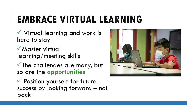### **EMBRACE VIRTUAL LEARNING**

 Virtual learning and work is here to stay

**Master virtual** learning/meeting skills

The challenges are many, but so are the **opportunities**

 Position yourself for future success by looking forward – not back

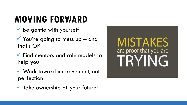#### **MOVING FORWARD**

- $\checkmark$  Be gentle with yourself
- $\checkmark$  You're going to mess up and that's OK
- $\checkmark$  Find mentors and role models to help you
- Work toward improvement, not perfection



V Take ownership of your future!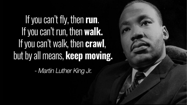## If you can't fly, then run. If you can't run, then walk. If you can't walk, then **crawl**, but by all means, keep moving.

- Martin Luther King Jr.